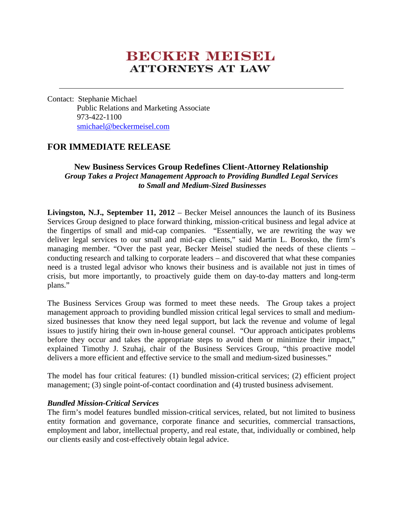# **BECKER MEESEL ATTORNEYS AT LAW**

Contact: Stephanie Michael Public Relations and Marketing Associate 973-422-1100 smichael@beckermeisel.com

# **FOR IMMEDIATE RELEASE**

## **New Business Services Group Redefines Client-Attorney Relationship**  *Group Takes a Project Management Approach to Providing Bundled Legal Services to Small and Medium-Sized Businesses*

**Livingston, N.J., September 11, 2012** – Becker Meisel announces the launch of its Business Services Group designed to place forward thinking, mission-critical business and legal advice at the fingertips of small and mid-cap companies. "Essentially, we are rewriting the way we deliver legal services to our small and mid-cap clients," said Martin L. Borosko, the firm's managing member. "Over the past year, Becker Meisel studied the needs of these clients – conducting research and talking to corporate leaders – and discovered that what these companies need is a trusted legal advisor who knows their business and is available not just in times of crisis, but more importantly, to proactively guide them on day-to-day matters and long-term plans."

The Business Services Group was formed to meet these needs. The Group takes a project management approach to providing bundled mission critical legal services to small and mediumsized businesses that know they need legal support, but lack the revenue and volume of legal issues to justify hiring their own in-house general counsel. "Our approach anticipates problems before they occur and takes the appropriate steps to avoid them or minimize their impact," explained Timothy J. Szuhaj, chair of the Business Services Group, "this proactive model delivers a more efficient and effective service to the small and medium-sized businesses."

The model has four critical features: (1) bundled mission-critical services; (2) efficient project management; (3) single point-of-contact coordination and (4) trusted business advisement.

## *Bundled Mission-Critical Services*

The firm's model features bundled mission-critical services, related, but not limited to business entity formation and governance, corporate finance and securities, commercial transactions, employment and labor, intellectual property, and real estate, that, individually or combined, help our clients easily and cost-effectively obtain legal advice.